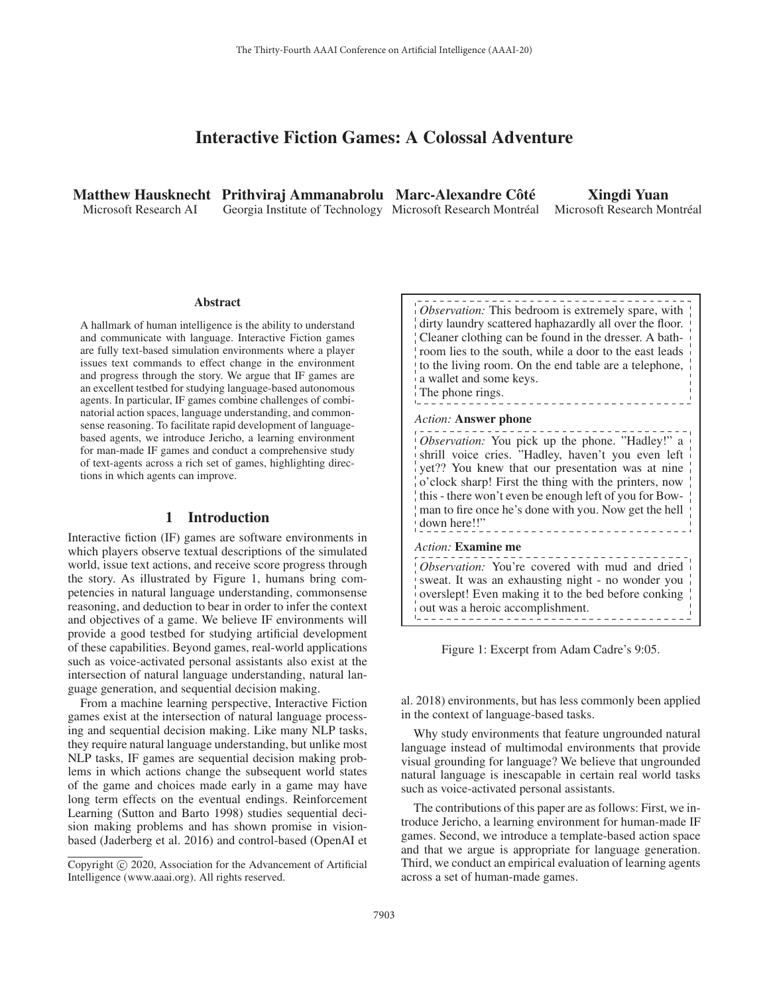# Interactive Fiction Games: A Colossal Adventure

Microsoft Research AI

Matthew Hausknecht Prithviraj Ammanabrolu Marc-Alexandre Côté Georgia Institute of Technology Microsoft Research Montréal

Xingdi Yuan Microsoft Research Montréal

#### Abstract

A hallmark of human intelligence is the ability to understand and communicate with language. Interactive Fiction games are fully text-based simulation environments where a player issues text commands to effect change in the environment and progress through the story. We argue that IF games are an excellent testbed for studying language-based autonomous agents. In particular, IF games combine challenges of combinatorial action spaces, language understanding, and commonsense reasoning. To facilitate rapid development of languagebased agents, we introduce Jericho, a learning environment for man-made IF games and conduct a comprehensive study of text-agents across a rich set of games, highlighting directions in which agents can improve.

## 1 Introduction

Interactive fiction (IF) games are software environments in which players observe textual descriptions of the simulated world, issue text actions, and receive score progress through the story. As illustrated by Figure 1, humans bring competencies in natural language understanding, commonsense reasoning, and deduction to bear in order to infer the context and objectives of a game. We believe IF environments will provide a good testbed for studying artificial development of these capabilities. Beyond games, real-world applications such as voice-activated personal assistants also exist at the intersection of natural language understanding, natural language generation, and sequential decision making.

From a machine learning perspective, Interactive Fiction games exist at the intersection of natural language processing and sequential decision making. Like many NLP tasks, they require natural language understanding, but unlike most NLP tasks, IF games are sequential decision making problems in which actions change the subsequent world states of the game and choices made early in a game may have long term effects on the eventual endings. Reinforcement Learning (Sutton and Barto 1998) studies sequential decision making problems and has shown promise in visionbased (Jaderberg et al. 2016) and control-based (OpenAI et

| Observation: This bedroom is extremely spare, with<br>dirty laundry scattered haphazardly all over the floor.<br>Cleaner clothing can be found in the dresser. A bath-<br>room lies to the south, while a door to the east leads<br>to the living room. On the end table are a telephone,<br>a wallet and some keys.<br>The phone rings.                            |  |  |  |  |  |  |
|---------------------------------------------------------------------------------------------------------------------------------------------------------------------------------------------------------------------------------------------------------------------------------------------------------------------------------------------------------------------|--|--|--|--|--|--|
| <i>Action:</i> <b>Answer phone</b>                                                                                                                                                                                                                                                                                                                                  |  |  |  |  |  |  |
| Observation: You pick up the phone. "Hadley!" a<br>shrill voice cries. "Hadley, haven't you even left<br>yet?? You knew that our presentation was at nine<br>$\frac{1}{2}$ o'clock sharp! First the thing with the printers, now<br>this - there won't even be enough left of you for Bow-<br>man to fire once he's done with you. Now get the hell<br>down here!!" |  |  |  |  |  |  |
| Action: Examine me                                                                                                                                                                                                                                                                                                                                                  |  |  |  |  |  |  |
| Observation: You're covered with mud and dried<br>sweat. It was an exhausting night - no wonder you<br>overslept! Even making it to the bed before conking<br>out was a heroic accomplishment.                                                                                                                                                                      |  |  |  |  |  |  |

Figure 1: Excerpt from Adam Cadre's 9:05.

al. 2018) environments, but has less commonly been applied in the context of language-based tasks.

Why study environments that feature ungrounded natural language instead of multimodal environments that provide visual grounding for language? We believe that ungrounded natural language is inescapable in certain real world tasks such as voice-activated personal assistants.

The contributions of this paper are as follows: First, we introduce Jericho, a learning environment for human-made IF games. Second, we introduce a template-based action space and that we argue is appropriate for language generation. Third, we conduct an empirical evaluation of learning agents across a set of human-made games.

Copyright  $\odot$  2020, Association for the Advancement of Artificial Intelligence (www.aaai.org). All rights reserved.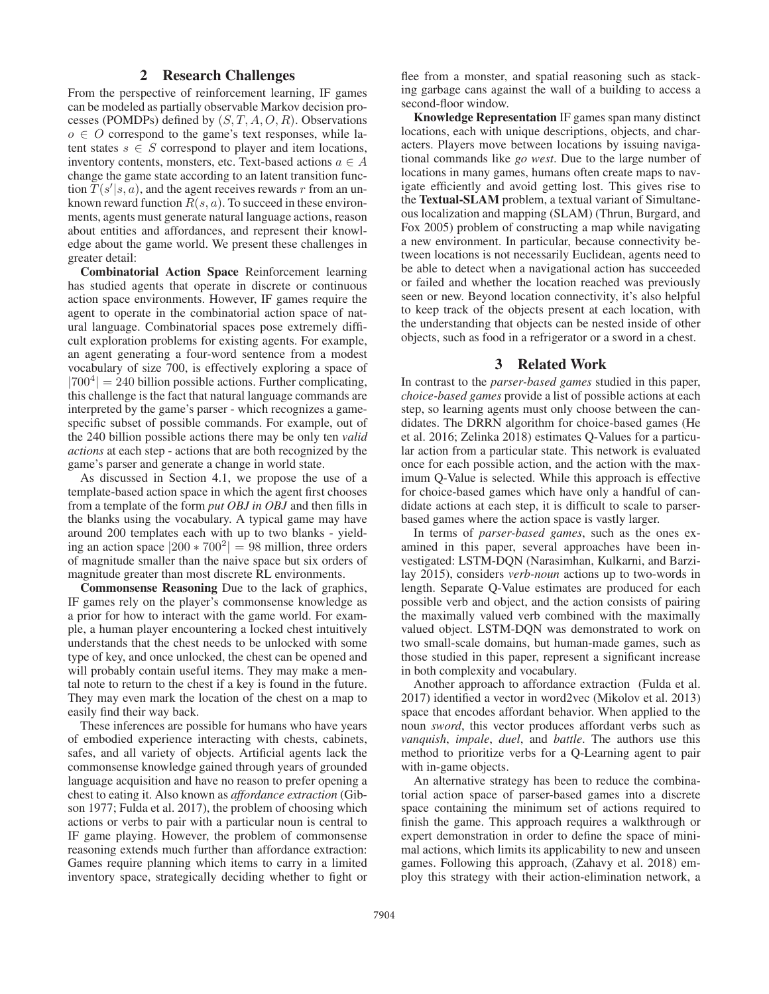## 2 Research Challenges

From the perspective of reinforcement learning, IF games can be modeled as partially observable Markov decision processes (POMDPs) defined by  $(S, T, A, O, R)$ . Observations  $o \in O$  correspond to the game's text responses, while latent states  $s \in S$  correspond to player and item locations, inventory contents, monsters, etc. Text-based actions  $a \in A$ change the game state according to an latent transition function  $T(s'|s, a)$ , and the agent receives rewards r from an unknown reward function  $R(s, a)$ . To succeed in these environments, agents must generate natural language actions, reason about entities and affordances, and represent their knowledge about the game world. We present these challenges in greater detail:

Combinatorial Action Space Reinforcement learning has studied agents that operate in discrete or continuous action space environments. However, IF games require the agent to operate in the combinatorial action space of natural language. Combinatorial spaces pose extremely difficult exploration problems for existing agents. For example, an agent generating a four-word sentence from a modest vocabulary of size 700, is effectively exploring a space of  $|700^4| = 240$  billion possible actions. Further complicating, this challenge is the fact that natural language commands are interpreted by the game's parser - which recognizes a gamespecific subset of possible commands. For example, out of the 240 billion possible actions there may be only ten *valid actions* at each step - actions that are both recognized by the game's parser and generate a change in world state.

As discussed in Section 4.1, we propose the use of a template-based action space in which the agent first chooses from a template of the form *put OBJ in OBJ* and then fills in the blanks using the vocabulary. A typical game may have around 200 templates each with up to two blanks - yielding an action space  $|200 * 700^2| = 98$  million, three orders of magnitude smaller than the naive space but six orders of magnitude greater than most discrete RL environments.

Commonsense Reasoning Due to the lack of graphics, IF games rely on the player's commonsense knowledge as a prior for how to interact with the game world. For example, a human player encountering a locked chest intuitively understands that the chest needs to be unlocked with some type of key, and once unlocked, the chest can be opened and will probably contain useful items. They may make a mental note to return to the chest if a key is found in the future. They may even mark the location of the chest on a map to easily find their way back.

These inferences are possible for humans who have years of embodied experience interacting with chests, cabinets, safes, and all variety of objects. Artificial agents lack the commonsense knowledge gained through years of grounded language acquisition and have no reason to prefer opening a chest to eating it. Also known as *affordance extraction* (Gibson 1977; Fulda et al. 2017), the problem of choosing which actions or verbs to pair with a particular noun is central to IF game playing. However, the problem of commonsense reasoning extends much further than affordance extraction: Games require planning which items to carry in a limited inventory space, strategically deciding whether to fight or

flee from a monster, and spatial reasoning such as stacking garbage cans against the wall of a building to access a second-floor window.

Knowledge Representation IF games span many distinct locations, each with unique descriptions, objects, and characters. Players move between locations by issuing navigational commands like *go west*. Due to the large number of locations in many games, humans often create maps to navigate efficiently and avoid getting lost. This gives rise to the Textual-SLAM problem, a textual variant of Simultaneous localization and mapping (SLAM) (Thrun, Burgard, and Fox 2005) problem of constructing a map while navigating a new environment. In particular, because connectivity between locations is not necessarily Euclidean, agents need to be able to detect when a navigational action has succeeded or failed and whether the location reached was previously seen or new. Beyond location connectivity, it's also helpful to keep track of the objects present at each location, with the understanding that objects can be nested inside of other objects, such as food in a refrigerator or a sword in a chest.

#### 3 Related Work

In contrast to the *parser-based games* studied in this paper, *choice-based games* provide a list of possible actions at each step, so learning agents must only choose between the candidates. The DRRN algorithm for choice-based games (He et al. 2016; Zelinka 2018) estimates Q-Values for a particular action from a particular state. This network is evaluated once for each possible action, and the action with the maximum Q-Value is selected. While this approach is effective for choice-based games which have only a handful of candidate actions at each step, it is difficult to scale to parserbased games where the action space is vastly larger.

In terms of *parser-based games*, such as the ones examined in this paper, several approaches have been investigated: LSTM-DQN (Narasimhan, Kulkarni, and Barzilay 2015), considers *verb-noun* actions up to two-words in length. Separate Q-Value estimates are produced for each possible verb and object, and the action consists of pairing the maximally valued verb combined with the maximally valued object. LSTM-DQN was demonstrated to work on two small-scale domains, but human-made games, such as those studied in this paper, represent a significant increase in both complexity and vocabulary.

Another approach to affordance extraction (Fulda et al. 2017) identified a vector in word2vec (Mikolov et al. 2013) space that encodes affordant behavior. When applied to the noun *sword*, this vector produces affordant verbs such as *vanquish*, *impale*, *duel*, and *battle*. The authors use this method to prioritize verbs for a Q-Learning agent to pair with in-game objects.

An alternative strategy has been to reduce the combinatorial action space of parser-based games into a discrete space containing the minimum set of actions required to finish the game. This approach requires a walkthrough or expert demonstration in order to define the space of minimal actions, which limits its applicability to new and unseen games. Following this approach, (Zahavy et al. 2018) employ this strategy with their action-elimination network, a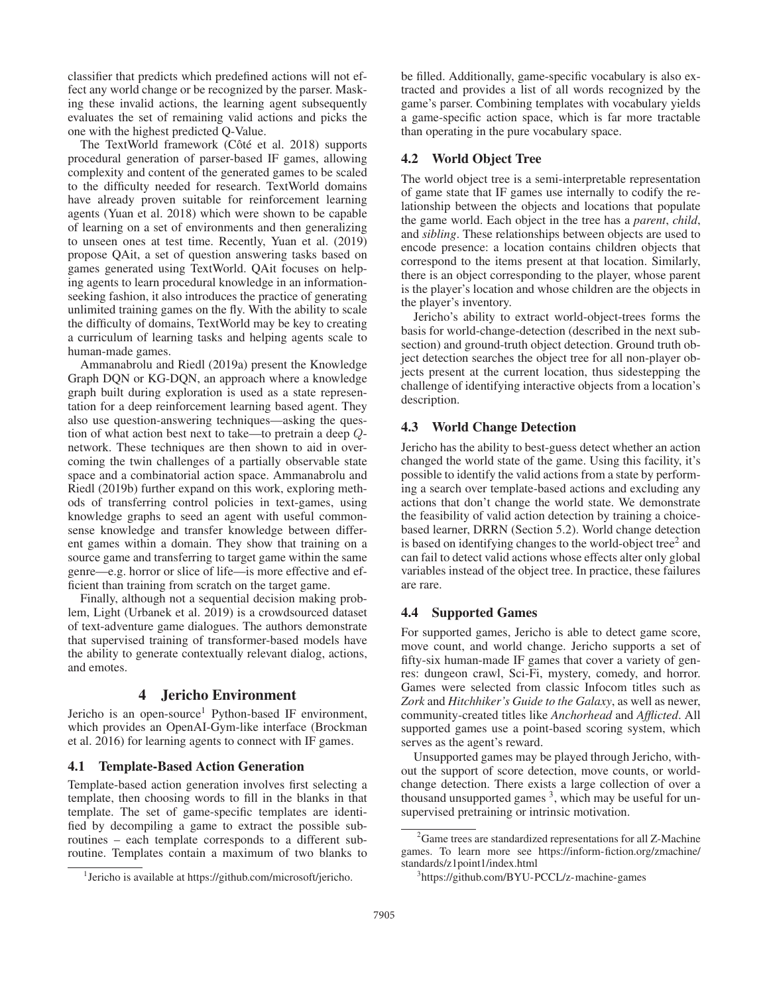classifier that predicts which predefined actions will not effect any world change or be recognized by the parser. Masking these invalid actions, the learning agent subsequently evaluates the set of remaining valid actions and picks the one with the highest predicted Q-Value.

The TextWorld framework (Côté et al. 2018) supports procedural generation of parser-based IF games, allowing complexity and content of the generated games to be scaled to the difficulty needed for research. TextWorld domains have already proven suitable for reinforcement learning agents (Yuan et al. 2018) which were shown to be capable of learning on a set of environments and then generalizing to unseen ones at test time. Recently, Yuan et al. (2019) propose QAit, a set of question answering tasks based on games generated using TextWorld. QAit focuses on helping agents to learn procedural knowledge in an informationseeking fashion, it also introduces the practice of generating unlimited training games on the fly. With the ability to scale the difficulty of domains, TextWorld may be key to creating a curriculum of learning tasks and helping agents scale to human-made games.

Ammanabrolu and Riedl (2019a) present the Knowledge Graph DQN or KG-DQN, an approach where a knowledge graph built during exploration is used as a state representation for a deep reinforcement learning based agent. They also use question-answering techniques—asking the question of what action best next to take—to pretrain a deep Qnetwork. These techniques are then shown to aid in overcoming the twin challenges of a partially observable state space and a combinatorial action space. Ammanabrolu and Riedl (2019b) further expand on this work, exploring methods of transferring control policies in text-games, using knowledge graphs to seed an agent with useful commonsense knowledge and transfer knowledge between different games within a domain. They show that training on a source game and transferring to target game within the same genre—e.g. horror or slice of life—is more effective and efficient than training from scratch on the target game.

Finally, although not a sequential decision making problem, Light (Urbanek et al. 2019) is a crowdsourced dataset of text-adventure game dialogues. The authors demonstrate that supervised training of transformer-based models have the ability to generate contextually relevant dialog, actions, and emotes.

### 4 Jericho Environment

Jericho is an open-source<sup>1</sup> Python-based IF environment, which provides an OpenAI-Gym-like interface (Brockman et al. 2016) for learning agents to connect with IF games.

## 4.1 Template-Based Action Generation

Template-based action generation involves first selecting a template, then choosing words to fill in the blanks in that template. The set of game-specific templates are identified by decompiling a game to extract the possible subroutines – each template corresponds to a different subroutine. Templates contain a maximum of two blanks to

be filled. Additionally, game-specific vocabulary is also extracted and provides a list of all words recognized by the game's parser. Combining templates with vocabulary yields a game-specific action space, which is far more tractable than operating in the pure vocabulary space.

## 4.2 World Object Tree

The world object tree is a semi-interpretable representation of game state that IF games use internally to codify the relationship between the objects and locations that populate the game world. Each object in the tree has a *parent*, *child*, and *sibling*. These relationships between objects are used to encode presence: a location contains children objects that correspond to the items present at that location. Similarly, there is an object corresponding to the player, whose parent is the player's location and whose children are the objects in the player's inventory.

Jericho's ability to extract world-object-trees forms the basis for world-change-detection (described in the next subsection) and ground-truth object detection. Ground truth object detection searches the object tree for all non-player objects present at the current location, thus sidestepping the challenge of identifying interactive objects from a location's description.

## 4.3 World Change Detection

Jericho has the ability to best-guess detect whether an action changed the world state of the game. Using this facility, it's possible to identify the valid actions from a state by performing a search over template-based actions and excluding any actions that don't change the world state. We demonstrate the feasibility of valid action detection by training a choicebased learner, DRRN (Section 5.2). World change detection is based on identifying changes to the world-object tree<sup>2</sup> and can fail to detect valid actions whose effects alter only global variables instead of the object tree. In practice, these failures are rare.

#### 4.4 Supported Games

For supported games, Jericho is able to detect game score, move count, and world change. Jericho supports a set of fifty-six human-made IF games that cover a variety of genres: dungeon crawl, Sci-Fi, mystery, comedy, and horror. Games were selected from classic Infocom titles such as *Zork* and *Hitchhiker's Guide to the Galaxy*, as well as newer, community-created titles like *Anchorhead* and *Afflicted*. All supported games use a point-based scoring system, which serves as the agent's reward.

Unsupported games may be played through Jericho, without the support of score detection, move counts, or worldchange detection. There exists a large collection of over a thousand unsupported games  $3$ , which may be useful for unsupervised pretraining or intrinsic motivation.

<sup>&</sup>lt;sup>1</sup>Jericho is available at https://github.com/microsoft/jericho.

<sup>&</sup>lt;sup>2</sup> Game trees are standardized representations for all Z-Machine games. To learn more see https://inform-fiction.org/zmachine/ standards/z1point1/index.html

<sup>3</sup> https://github.com/BYU-PCCL/z-machine-games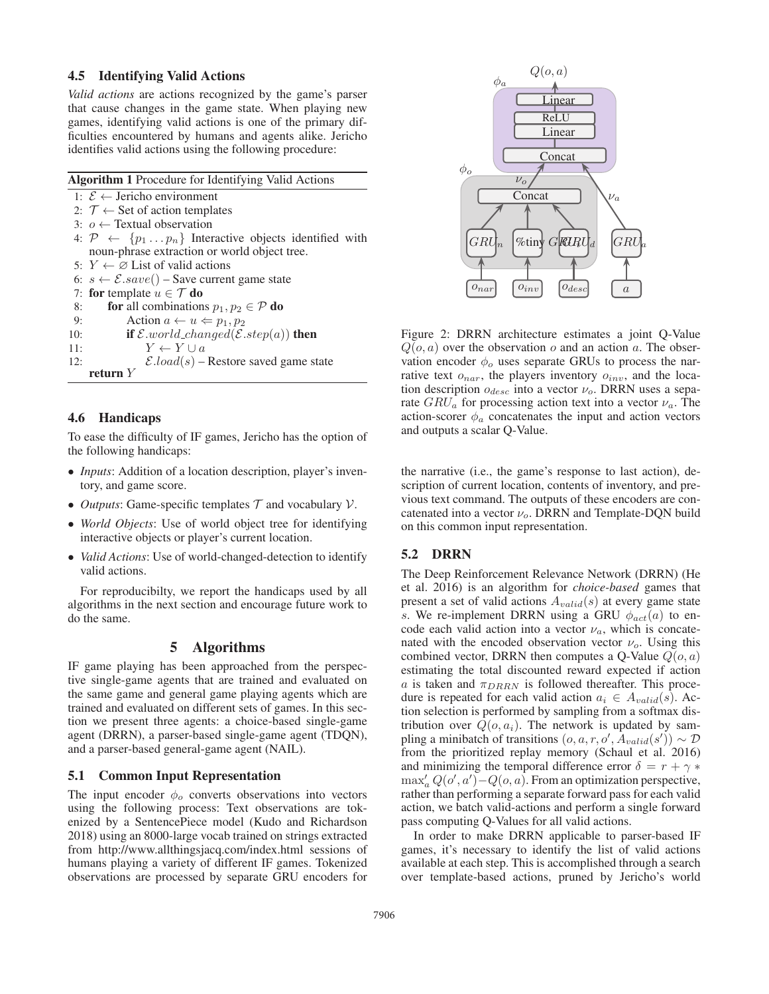#### 4.5 Identifying Valid Actions

*Valid actions* are actions recognized by the game's parser that cause changes in the game state. When playing new games, identifying valid actions is one of the primary difficulties encountered by humans and agents alike. Jericho identifies valid actions using the following procedure:

| <b>Algorithm 1</b> Procedure for Identifying Valid Actions                        |
|-----------------------------------------------------------------------------------|
| 1: $\mathcal{E}$ ← Jericho environment                                            |
| 2: $\mathcal{T} \leftarrow$ Set of action templates                               |
| 3: $o \leftarrow$ Textual observation                                             |
| 4: $\mathcal{P} \leftarrow \{p_1 \dots p_n\}$ Interactive objects identified with |
| noun-phrase extraction or world object tree.                                      |
| 5: $Y \leftarrow \emptyset$ List of valid actions                                 |
| 6: $s \leftarrow \mathcal{E}.save()$ – Save current game state                    |
| 7: for template $u \in \mathcal{T}$ do                                            |
| <b>for</b> all combinations $p_1, p_2 \in \mathcal{P}$ <b>do</b><br>8:            |
| Action $a \leftarrow u \Leftarrow p_1, p_2$<br>9:                                 |
| if $\mathcal{E}$ world_changed( $\mathcal{E}.step(a)$ ) then<br>10:               |
| $Y \leftarrow Y \cup a$<br>11:                                                    |
| $\mathcal{E}.load(s)$ – Restore saved game state<br>12:                           |
| return $Y$                                                                        |

### 4.6 Handicaps

To ease the difficulty of IF games, Jericho has the option of the following handicaps:

- *Inputs*: Addition of a location description, player's inventory, and game score.
- *Outputs*: Game-specific templates  $T$  and vocabulary  $V$ .
- *World Objects*: Use of world object tree for identifying interactive objects or player's current location.
- *Valid Actions*: Use of world-changed-detection to identify valid actions.

For reproducibilty, we report the handicaps used by all algorithms in the next section and encourage future work to do the same.

### 5 Algorithms

IF game playing has been approached from the perspective single-game agents that are trained and evaluated on the same game and general game playing agents which are trained and evaluated on different sets of games. In this section we present three agents: a choice-based single-game agent (DRRN), a parser-based single-game agent (TDQN), and a parser-based general-game agent (NAIL).

### 5.1 Common Input Representation

The input encoder  $\phi_0$  converts observations into vectors using the following process: Text observations are tokenized by a SentencePiece model (Kudo and Richardson 2018) using an 8000-large vocab trained on strings extracted from http://www.allthingsjacq.com/index.html sessions of humans playing a variety of different IF games. Tokenized observations are processed by separate GRU encoders for



Figure 2: DRRN architecture estimates a joint Q-Value  $Q(o, a)$  over the observation o and an action a. The observation encoder  $\phi_o$  uses separate GRUs to process the narrative text  $o_{nar}$ , the players inventory  $o_{inv}$ , and the location description  $o_{desc}$  into a vector  $\nu_o$ . DRRN uses a separate  $GRU_a$  for processing action text into a vector  $\nu_a$ . The action-scorer  $\phi_a$  concatenates the input and action vectors and outputs a scalar Q-Value.

the narrative (i.e., the game's response to last action), description of current location, contents of inventory, and previous text command. The outputs of these encoders are concatenated into a vector  $\nu$ <sub>o</sub>. DRRN and Template-DQN build on this common input representation.

#### 5.2 DRRN

The Deep Reinforcement Relevance Network (DRRN) (He et al. 2016) is an algorithm for *choice-based* games that present a set of valid actions  $A_{valid}(s)$  at every game state s. We re-implement DRRN using a GRU  $\phi_{act}(a)$  to encode each valid action into a vector  $\nu_a$ , which is concatenated with the encoded observation vector  $\nu$ <sub>o</sub>. Using this combined vector, DRRN then computes a Q-Value  $Q(o, a)$ estimating the total discounted reward expected if action a is taken and  $\pi_{DRRN}$  is followed thereafter. This procedure is repeated for each valid action  $a_i \in A_{valid}(s)$ . Action selection is performed by sampling from a softmax distribution over  $Q(o, a_i)$ . The network is updated by sampling a minibatch of transitions  $(o, a, r, o', A_{valid}(s')) \sim \mathcal{D}$ from the prioritized replay memory (Schaul et al. 2016) and minimizing the temporal difference error  $\delta = r + \gamma *$  $\max_{a} Q(o', a') - Q(o, a)$ . From an optimization perspective, rather than performing a separate forward pass for each valid action, we batch valid-actions and perform a single forward pass computing Q-Values for all valid actions.

In order to make DRRN applicable to parser-based IF games, it's necessary to identify the list of valid actions available at each step. This is accomplished through a search over template-based actions, pruned by Jericho's world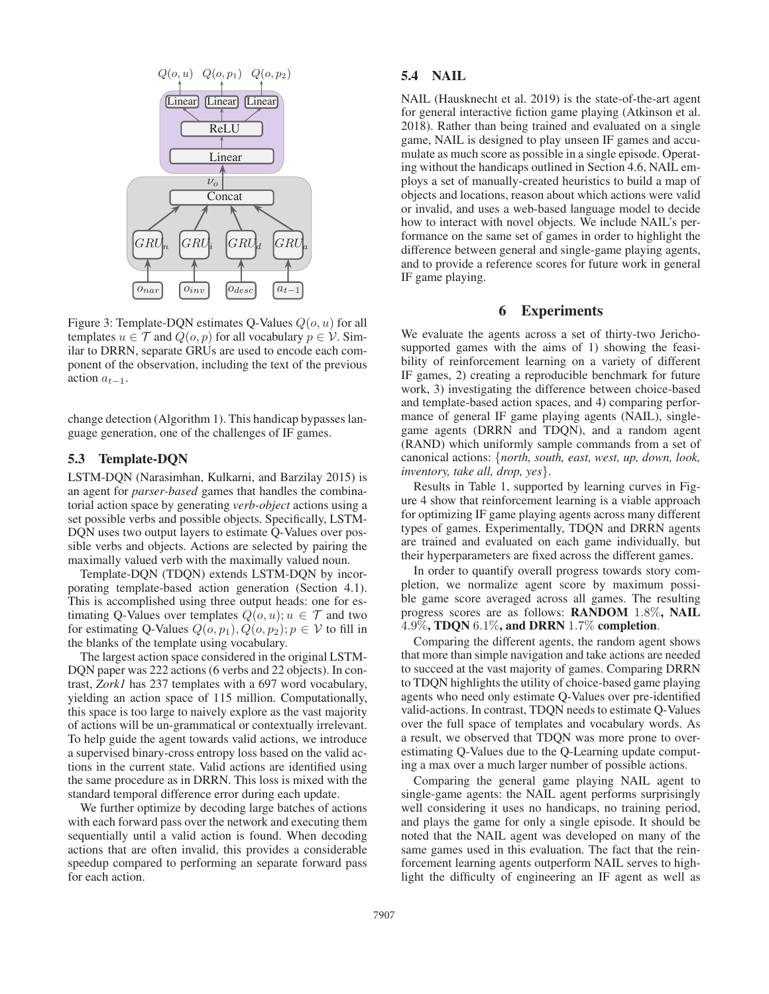

Figure 3: Template-DQN estimates Q-Values  $Q(o, u)$  for all templates  $u \in \mathcal{T}$  and  $Q(o, p)$  for all vocabulary  $p \in \mathcal{V}$ . Similar to DRRN, separate GRUs are used to encode each component of the observation, including the text of the previous action  $a_{t-1}$ .

change detection (Algorithm 1). This handicap bypasses language generation, one of the challenges of IF games.

### 5.3 Template-DQN

LSTM-DQN (Narasimhan, Kulkarni, and Barzilay 2015) is an agent for *parser-based* games that handles the combinatorial action space by generating *verb-object* actions using a set possible verbs and possible objects. Specifically, LSTM-DQN uses two output layers to estimate Q-Values over possible verbs and objects. Actions are selected by pairing the maximally valued verb with the maximally valued noun.

Template-DQN (TDQN) extends LSTM-DQN by incorporating template-based action generation (Section 4.1). This is accomplished using three output heads: one for estimating Q-Values over templates  $Q(o, u); u \in \mathcal{T}$  and two for estimating Q-Values  $Q(o, p_1), Q(o, p_2); p \in V$  to fill in the blanks of the template using vocabulary.

The largest action space considered in the original LSTM-DQN paper was 222 actions (6 verbs and 22 objects). In contrast, *Zork1* has 237 templates with a 697 word vocabulary, yielding an action space of 115 million. Computationally, this space is too large to naively explore as the vast majority of actions will be un-grammatical or contextually irrelevant. To help guide the agent towards valid actions, we introduce a supervised binary-cross entropy loss based on the valid actions in the current state. Valid actions are identified using the same procedure as in DRRN. This loss is mixed with the standard temporal difference error during each update.

We further optimize by decoding large batches of actions with each forward pass over the network and executing them sequentially until a valid action is found. When decoding actions that are often invalid, this provides a considerable speedup compared to performing an separate forward pass for each action.

## 5.4 NAIL

NAIL (Hausknecht et al. 2019) is the state-of-the-art agent for general interactive fiction game playing (Atkinson et al. 2018). Rather than being trained and evaluated on a single game, NAIL is designed to play unseen IF games and accumulate as much score as possible in a single episode. Operating without the handicaps outlined in Section 4.6, NAIL employs a set of manually-created heuristics to build a map of objects and locations, reason about which actions were valid or invalid, and uses a web-based language model to decide how to interact with novel objects. We include NAIL's performance on the same set of games in order to highlight the difference between general and single-game playing agents, and to provide a reference scores for future work in general IF game playing.

## 6 Experiments

We evaluate the agents across a set of thirty-two Jerichosupported games with the aims of 1) showing the feasibility of reinforcement learning on a variety of different IF games, 2) creating a reproducible benchmark for future work, 3) investigating the difference between choice-based and template-based action spaces, and 4) comparing performance of general IF game playing agents (NAIL), singlegame agents (DRRN and TDQN), and a random agent (RAND) which uniformly sample commands from a set of canonical actions: {*north, south, east, west, up, down, look, inventory, take all, drop, yes*}.

Results in Table 1, supported by learning curves in Figure 4 show that reinforcement learning is a viable approach for optimizing IF game playing agents across many different types of games. Experimentally, TDQN and DRRN agents are trained and evaluated on each game individually, but their hyperparameters are fixed across the different games.

In order to quantify overall progress towards story completion, we normalize agent score by maximum possible game score averaged across all games. The resulting progress scores are as follows: RANDOM 1.8%, NAIL 4.9%, TDQN  $6.1\%$ , and DRRN  $1.7\%$  completion.

Comparing the different agents, the random agent shows that more than simple navigation and take actions are needed to succeed at the vast majority of games. Comparing DRRN to TDQN highlights the utility of choice-based game playing agents who need only estimate Q-Values over pre-identified valid-actions. In contrast, TDQN needs to estimate Q-Values over the full space of templates and vocabulary words. As a result, we observed that TDQN was more prone to overestimating Q-Values due to the Q-Learning update computing a max over a much larger number of possible actions.

Comparing the general game playing NAIL agent to single-game agents: the NAIL agent performs surprisingly well considering it uses no handicaps, no training period, and plays the game for only a single episode. It should be noted that the NAIL agent was developed on many of the same games used in this evaluation. The fact that the reinforcement learning agents outperform NAIL serves to highlight the difficulty of engineering an IF agent as well as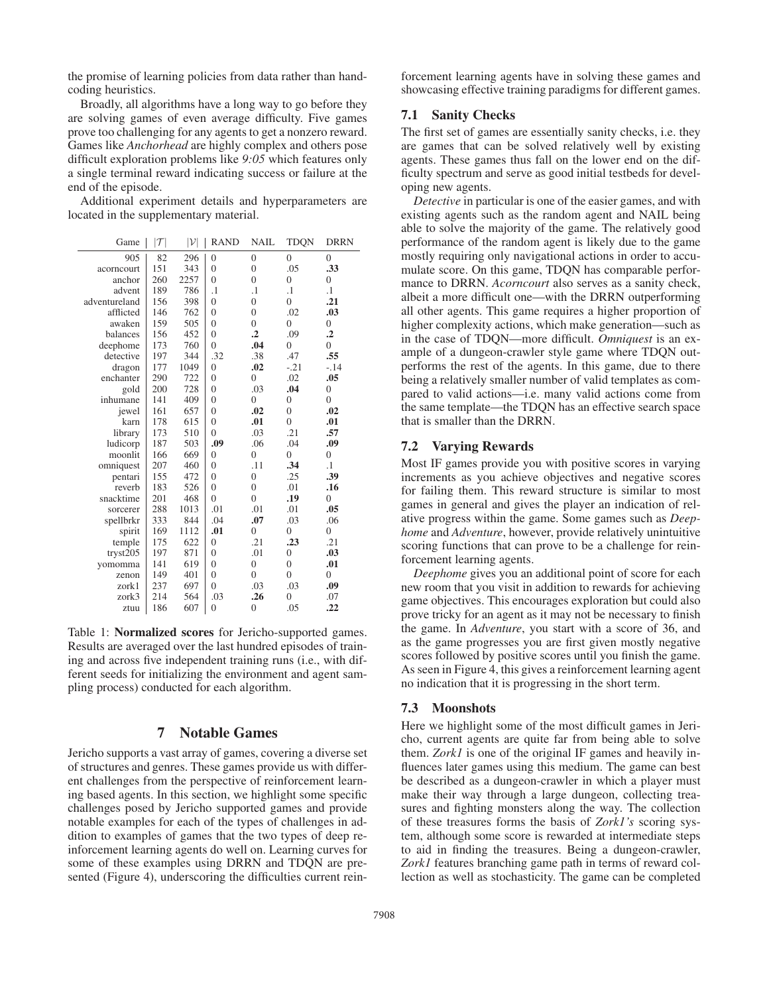the promise of learning policies from data rather than handcoding heuristics.

Broadly, all algorithms have a long way to go before they are solving games of even average difficulty. Five games prove too challenging for any agents to get a nonzero reward. Games like *Anchorhead* are highly complex and others pose difficult exploration problems like *9:05* which features only a single terminal reward indicating success or failure at the end of the episode.

Additional experiment details and hyperparameters are located in the supplementary material.

| Game          | $ \mathcal{T} $ | $ \mathcal{V} $ | <b>RAND</b>    | NAIL           | TDQN           | <b>DRRN</b>    |
|---------------|-----------------|-----------------|----------------|----------------|----------------|----------------|
| 905           | 82              | 296             | $\overline{0}$ | $\mathbf{0}$   | $\overline{0}$ | $\overline{0}$ |
| acorncourt    | 151             | 343             | $\overline{0}$ | $\overline{0}$ | .05            | .33            |
| anchor        | 260             | 2257            | $\theta$       | $\theta$       | $\theta$       | $\overline{0}$ |
| advent        | 189             | 786             | $\cdot$        | $\cdot$        | $\cdot$        | $\cdot$ 1      |
| adventureland | 156             | 398             | $\overline{0}$ | $\overline{0}$ | $\theta$       | .21            |
| afflicted     | 146             | 762             | $\overline{0}$ | $\overline{0}$ | .02            | .03            |
| awaken        | 159             | 505             | $\overline{0}$ | $\theta$       | $\theta$       | $\overline{0}$ |
| balances      | 156             | 452             | $\overline{0}$ | $\cdot$        | .09            | $\cdot$        |
| deephome      | 173             | 760             | $\theta$       | .04            | $\theta$       | $\theta$       |
| detective     | 197             | 344             | .32            | .38            | .47            | .55            |
| dragon        | 177             | 1049            | $\overline{0}$ | .02            | $-.21$         | $-14$          |
| enchanter     | 290             | 722             | $\overline{0}$ | $\overline{0}$ | .02            | .05            |
| gold          | 200             | 728             | $\overline{0}$ | .03            | .04            | $\overline{0}$ |
| inhumane      | 141             | 409             | $\overline{0}$ | $\overline{0}$ | $\overline{0}$ | $\overline{0}$ |
| jewel         | 161             | 657             | $\overline{0}$ | .02            | $\overline{0}$ | .02            |
| karn          | 178             | 615             | $\overline{0}$ | .01            | $\theta$       | .01            |
| library       | 173             | 510             | $\theta$       | .03            | .21            | .57            |
| ludicorp      | 187             | 503             | .09            | .06            | .04            | .09            |
| moonlit       | 166             | 669             | $\overline{0}$ | $\theta$       | $\theta$       | $\overline{0}$ |
| omniquest     | 207             | 460             | $\theta$       | .11            | .34            | $\cdot$        |
| pentari       | 155             | 472             | $\overline{0}$ | $\overline{0}$ | .25            | .39            |
| reverb        | 183             | 526             | $\overline{0}$ | $\overline{0}$ | .01            | .16            |
| snacktime     | 201             | 468             | $\theta$       | $\theta$       | .19            | $\overline{0}$ |
| sorcerer      | 288             | 1013            | .01            | .01            | .01            | .05            |
| spellbrkr     | 333             | 844             | .04            | .07            | .03            | .06            |
| spirit        | 169             | 1112            | .01            | $\theta$       | $\theta$       | $\theta$       |
| temple        | 175             | 622             | $\overline{0}$ | .21            | .23            | .21            |
| tryst205      | 197             | 871             | $\overline{0}$ | .01            | $\overline{0}$ | .03            |
| yomomma       | 141             | 619             | $\overline{0}$ | $\overline{0}$ | $\overline{0}$ | .01            |
| zenon         | 149             | 401             | $\theta$       | $\theta$       | $\theta$       | $\overline{0}$ |
| zork1         | 237             | 697             | $\overline{0}$ | .03            | .03            | .09            |
| zork3         | 214             | 564             | .03            | .26            | $\theta$       | .07            |
| ztuu          | 186             | 607             | $\overline{0}$ | $\overline{0}$ | .05            | .22            |

Table 1: Normalized scores for Jericho-supported games. Results are averaged over the last hundred episodes of training and across five independent training runs (i.e., with different seeds for initializing the environment and agent sampling process) conducted for each algorithm.

## 7 Notable Games

Jericho supports a vast array of games, covering a diverse set of structures and genres. These games provide us with different challenges from the perspective of reinforcement learning based agents. In this section, we highlight some specific challenges posed by Jericho supported games and provide notable examples for each of the types of challenges in addition to examples of games that the two types of deep reinforcement learning agents do well on. Learning curves for some of these examples using DRRN and TDQN are presented (Figure 4), underscoring the difficulties current rein-

forcement learning agents have in solving these games and showcasing effective training paradigms for different games.

#### 7.1 Sanity Checks

The first set of games are essentially sanity checks, i.e. they are games that can be solved relatively well by existing agents. These games thus fall on the lower end on the difficulty spectrum and serve as good initial testbeds for developing new agents.

*Detective* in particular is one of the easier games, and with existing agents such as the random agent and NAIL being able to solve the majority of the game. The relatively good performance of the random agent is likely due to the game mostly requiring only navigational actions in order to accumulate score. On this game, TDQN has comparable performance to DRRN. *Acorncourt* also serves as a sanity check, albeit a more difficult one—with the DRRN outperforming all other agents. This game requires a higher proportion of higher complexity actions, which make generation—such as in the case of TDQN—more difficult. *Omniquest* is an example of a dungeon-crawler style game where TDQN outperforms the rest of the agents. In this game, due to there being a relatively smaller number of valid templates as compared to valid actions—i.e. many valid actions come from the same template—the TDQN has an effective search space that is smaller than the DRRN.

#### 7.2 Varying Rewards

Most IF games provide you with positive scores in varying increments as you achieve objectives and negative scores for failing them. This reward structure is similar to most games in general and gives the player an indication of relative progress within the game. Some games such as *Deephome* and *Adventure*, however, provide relatively unintuitive scoring functions that can prove to be a challenge for reinforcement learning agents.

*Deephome* gives you an additional point of score for each new room that you visit in addition to rewards for achieving game objectives. This encourages exploration but could also prove tricky for an agent as it may not be necessary to finish the game. In *Adventure*, you start with a score of 36, and as the game progresses you are first given mostly negative scores followed by positive scores until you finish the game. As seen in Figure 4, this gives a reinforcement learning agent no indication that it is progressing in the short term.

### 7.3 Moonshots

Here we highlight some of the most difficult games in Jericho, current agents are quite far from being able to solve them. *Zork1* is one of the original IF games and heavily influences later games using this medium. The game can best be described as a dungeon-crawler in which a player must make their way through a large dungeon, collecting treasures and fighting monsters along the way. The collection of these treasures forms the basis of *Zork1's* scoring system, although some score is rewarded at intermediate steps to aid in finding the treasures. Being a dungeon-crawler, *Zork1* features branching game path in terms of reward collection as well as stochasticity. The game can be completed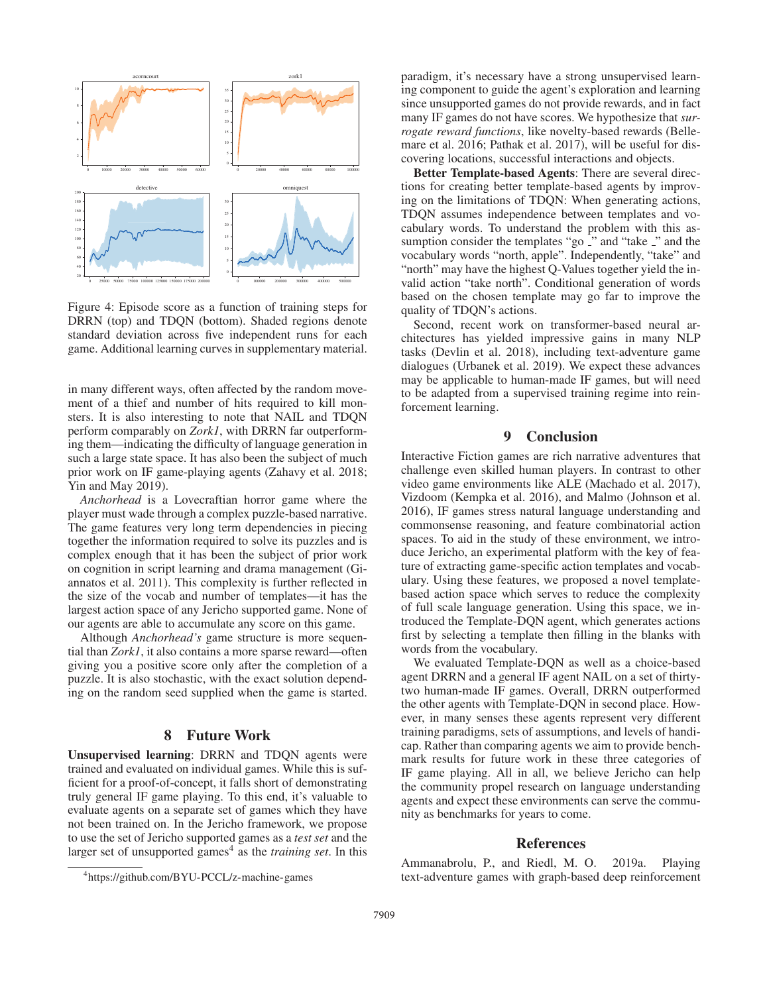

Figure 4: Episode score as a function of training steps for DRRN (top) and TDQN (bottom). Shaded regions denote standard deviation across five independent runs for each game. Additional learning curves in supplementary material.

in many different ways, often affected by the random movement of a thief and number of hits required to kill monsters. It is also interesting to note that NAIL and TDQN perform comparably on *Zork1*, with DRRN far outperforming them—indicating the difficulty of language generation in such a large state space. It has also been the subject of much prior work on IF game-playing agents (Zahavy et al. 2018; Yin and May 2019).

*Anchorhead* is a Lovecraftian horror game where the player must wade through a complex puzzle-based narrative. The game features very long term dependencies in piecing together the information required to solve its puzzles and is complex enough that it has been the subject of prior work on cognition in script learning and drama management (Giannatos et al. 2011). This complexity is further reflected in the size of the vocab and number of templates—it has the largest action space of any Jericho supported game. None of our agents are able to accumulate any score on this game.

Although *Anchorhead's* game structure is more sequential than *Zork1*, it also contains a more sparse reward—often giving you a positive score only after the completion of a puzzle. It is also stochastic, with the exact solution depending on the random seed supplied when the game is started.

#### 8 Future Work

Unsupervised learning: DRRN and TDQN agents were trained and evaluated on individual games. While this is sufficient for a proof-of-concept, it falls short of demonstrating truly general IF game playing. To this end, it's valuable to evaluate agents on a separate set of games which they have not been trained on. In the Jericho framework, we propose to use the set of Jericho supported games as a *test set* and the larger set of unsupported games<sup>4</sup> as the *training set*. In this

paradigm, it's necessary have a strong unsupervised learning component to guide the agent's exploration and learning since unsupported games do not provide rewards, and in fact many IF games do not have scores. We hypothesize that *surrogate reward functions*, like novelty-based rewards (Bellemare et al. 2016; Pathak et al. 2017), will be useful for discovering locations, successful interactions and objects.

Better Template-based Agents: There are several directions for creating better template-based agents by improving on the limitations of TDQN: When generating actions, TDQN assumes independence between templates and vocabulary words. To understand the problem with this assumption consider the templates "go \_" and "take \_" and the vocabulary words "north, apple". Independently, "take" and "north" may have the highest Q-Values together yield the invalid action "take north". Conditional generation of words based on the chosen template may go far to improve the quality of TDQN's actions.

Second, recent work on transformer-based neural architectures has yielded impressive gains in many NLP tasks (Devlin et al. 2018), including text-adventure game dialogues (Urbanek et al. 2019). We expect these advances may be applicable to human-made IF games, but will need to be adapted from a supervised training regime into reinforcement learning.

## 9 Conclusion

Interactive Fiction games are rich narrative adventures that challenge even skilled human players. In contrast to other video game environments like ALE (Machado et al. 2017), Vizdoom (Kempka et al. 2016), and Malmo (Johnson et al. 2016), IF games stress natural language understanding and commonsense reasoning, and feature combinatorial action spaces. To aid in the study of these environment, we introduce Jericho, an experimental platform with the key of feature of extracting game-specific action templates and vocabulary. Using these features, we proposed a novel templatebased action space which serves to reduce the complexity of full scale language generation. Using this space, we introduced the Template-DQN agent, which generates actions first by selecting a template then filling in the blanks with words from the vocabulary.

We evaluated Template-DQN as well as a choice-based agent DRRN and a general IF agent NAIL on a set of thirtytwo human-made IF games. Overall, DRRN outperformed the other agents with Template-DQN in second place. However, in many senses these agents represent very different training paradigms, sets of assumptions, and levels of handicap. Rather than comparing agents we aim to provide benchmark results for future work in these three categories of IF game playing. All in all, we believe Jericho can help the community propel research on language understanding agents and expect these environments can serve the community as benchmarks for years to come.

#### References

Ammanabrolu, P., and Riedl, M. O. 2019a. Playing text-adventure games with graph-based deep reinforcement

<sup>4</sup> https://github.com/BYU-PCCL/z-machine-games